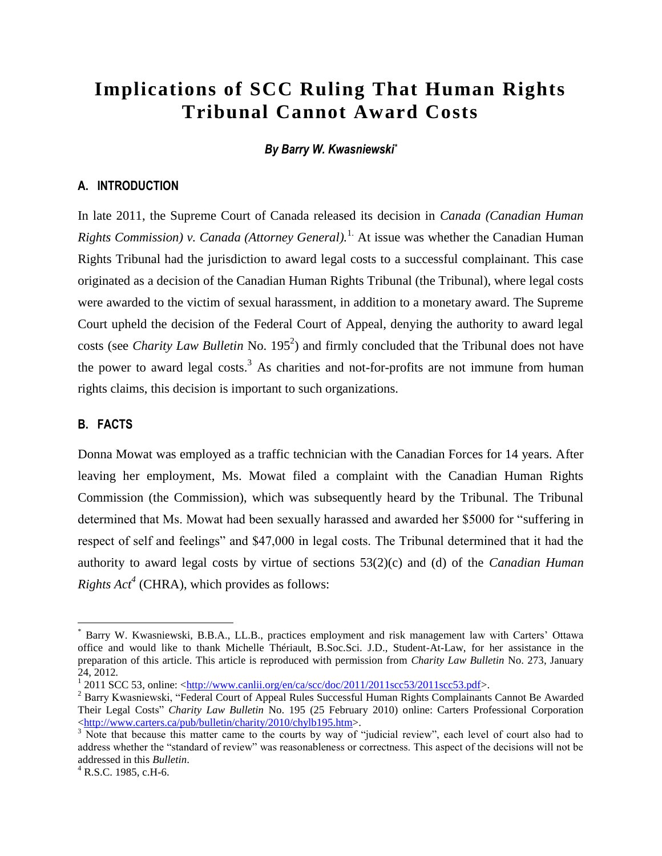# **Implications of SCC Ruling That Human Rights Tribunal Cannot Award Costs**

#### *By Barry W. Kwasniewski\**

#### **A. INTRODUCTION**

In late 2011, the Supreme Court of Canada released its decision in *Canada (Canadian Human Rights Commission) v. Canada (Attorney General).*<sup>1.</sup> At issue was whether the Canadian Human Rights Tribunal had the jurisdiction to award legal costs to a successful complainant. This case originated as a decision of the Canadian Human Rights Tribunal (the Tribunal), where legal costs were awarded to the victim of sexual harassment, in addition to a monetary award. The Supreme Court upheld the decision of the Federal Court of Appeal, denying the authority to award legal costs (see *Charity Law Bulletin* No. 195<sup>2</sup>) and firmly concluded that the Tribunal does not have the power to award legal costs.<sup>3</sup> As charities and not-for-profits are not immune from human rights claims, this decision is important to such organizations.

#### **B. FACTS**

 $\overline{a}$ 

Donna Mowat was employed as a traffic technician with the Canadian Forces for 14 years. After leaving her employment, Ms. Mowat filed a complaint with the Canadian Human Rights Commission (the Commission), which was subsequently heard by the Tribunal. The Tribunal determined that Ms. Mowat had been sexually harassed and awarded her \$5000 for "suffering in respect of self and feelings" and \$47,000 in legal costs. The Tribunal determined that it had the authority to award legal costs by virtue of sections 53(2)(c) and (d) of the *Canadian Human Rights*  $Act^4$  (CHRA), which provides as follows:

Barry W. Kwasniewski, B.B.A., LL.B., practices employment and risk management law with Carters' Ottawa office and would like to thank Michelle Thériault, B.Soc.Sci. J.D., Student-At-Law, for her assistance in the preparation of this article. This article is reproduced with permission from *Charity Law Bulletin* No. 273, January 24, 2012.<br><sup>1</sup> 2011 SCC 53, online: <<u>http://www.canlii.org/en/ca/scc/doc/2011/2011scc53/2011scc53.pdf</u>>.

<sup>&</sup>lt;sup>2</sup> Barry Kwasniewski, "Federal Court of Appeal Rules Successful Human Rights Complainants Cannot Be Awarded Their Legal Costs" *Charity Law Bulletin* No. 195 (25 February 2010) online: Carters Professional Corporation [<http://www.carters.ca/pub/bulletin/charity/2010/chylb195.htm>](http://www.carters.ca/pub/bulletin/charity/2010/chylb195.htm).

<sup>&</sup>lt;sup>3</sup> Note that because this matter came to the courts by way of "judicial review", each level of court also had to address whether the "standard of review" was reasonableness or correctness. This aspect of the decisions will not be addressed in this *Bulletin*.

 $^{4}$  R.S.C. 1985, c.H-6.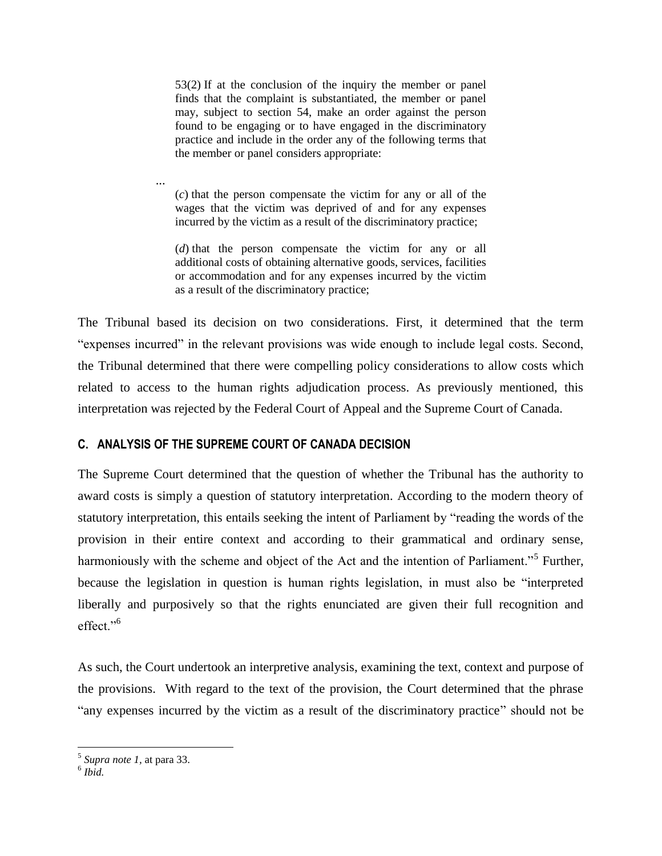53(2) If at the conclusion of the inquiry the member or panel finds that the complaint is substantiated, the member or panel may, subject to section 54, make an order against the person found to be engaging or to have engaged in the discriminatory practice and include in the order any of the following terms that the member or panel considers appropriate:

(*c*) that the person compensate the victim for any or all of the wages that the victim was deprived of and for any expenses incurred by the victim as a result of the discriminatory practice;

(*d*) that the person compensate the victim for any or all additional costs of obtaining alternative goods, services, facilities or accommodation and for any expenses incurred by the victim as a result of the discriminatory practice;

The Tribunal based its decision on two considerations. First, it determined that the term "expenses incurred" in the relevant provisions was wide enough to include legal costs. Second, the Tribunal determined that there were compelling policy considerations to allow costs which related to access to the human rights adjudication process. As previously mentioned, this interpretation was rejected by the Federal Court of Appeal and the Supreme Court of Canada.

### **C. ANALYSIS OF THE SUPREME COURT OF CANADA DECISION**

...

The Supreme Court determined that the question of whether the Tribunal has the authority to award costs is simply a question of statutory interpretation. According to the modern theory of statutory interpretation, this entails seeking the intent of Parliament by "reading the words of the provision in their entire context and according to their grammatical and ordinary sense, harmoniously with the scheme and object of the Act and the intention of Parliament."<sup>5</sup> Further, because the legislation in question is human rights legislation, in must also be "interpreted liberally and purposively so that the rights enunciated are given their full recognition and effect<sup>"6</sup>

As such, the Court undertook an interpretive analysis, examining the text, context and purpose of the provisions. With regard to the text of the provision, the Court determined that the phrase "any expenses incurred by the victim as a result of the discriminatory practice" should not be

 $\overline{a}$ 

<sup>5</sup> *Supra note 1,* at para 33.

<sup>6</sup> *Ibid.*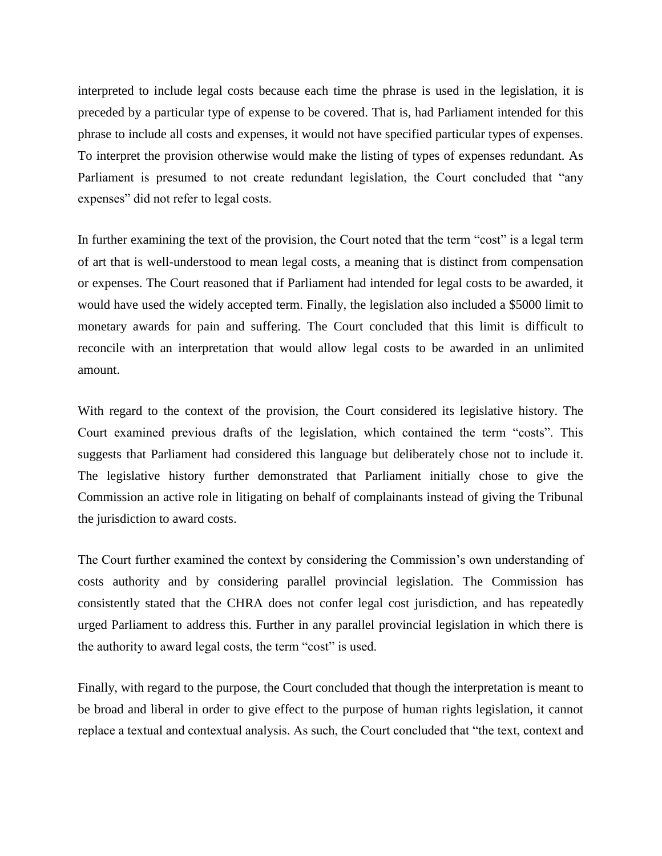interpreted to include legal costs because each time the phrase is used in the legislation, it is preceded by a particular type of expense to be covered. That is, had Parliament intended for this phrase to include all costs and expenses, it would not have specified particular types of expenses. To interpret the provision otherwise would make the listing of types of expenses redundant. As Parliament is presumed to not create redundant legislation, the Court concluded that "any expenses" did not refer to legal costs.

In further examining the text of the provision, the Court noted that the term "cost" is a legal term of art that is well-understood to mean legal costs, a meaning that is distinct from compensation or expenses. The Court reasoned that if Parliament had intended for legal costs to be awarded, it would have used the widely accepted term. Finally, the legislation also included a \$5000 limit to monetary awards for pain and suffering. The Court concluded that this limit is difficult to reconcile with an interpretation that would allow legal costs to be awarded in an unlimited amount.

With regard to the context of the provision, the Court considered its legislative history. The Court examined previous drafts of the legislation, which contained the term "costs". This suggests that Parliament had considered this language but deliberately chose not to include it. The legislative history further demonstrated that Parliament initially chose to give the Commission an active role in litigating on behalf of complainants instead of giving the Tribunal the jurisdiction to award costs.

The Court further examined the context by considering the Commission's own understanding of costs authority and by considering parallel provincial legislation. The Commission has consistently stated that the CHRA does not confer legal cost jurisdiction, and has repeatedly urged Parliament to address this. Further in any parallel provincial legislation in which there is the authority to award legal costs, the term "cost" is used.

Finally, with regard to the purpose, the Court concluded that though the interpretation is meant to be broad and liberal in order to give effect to the purpose of human rights legislation, it cannot replace a textual and contextual analysis. As such, the Court concluded that "the text, context and